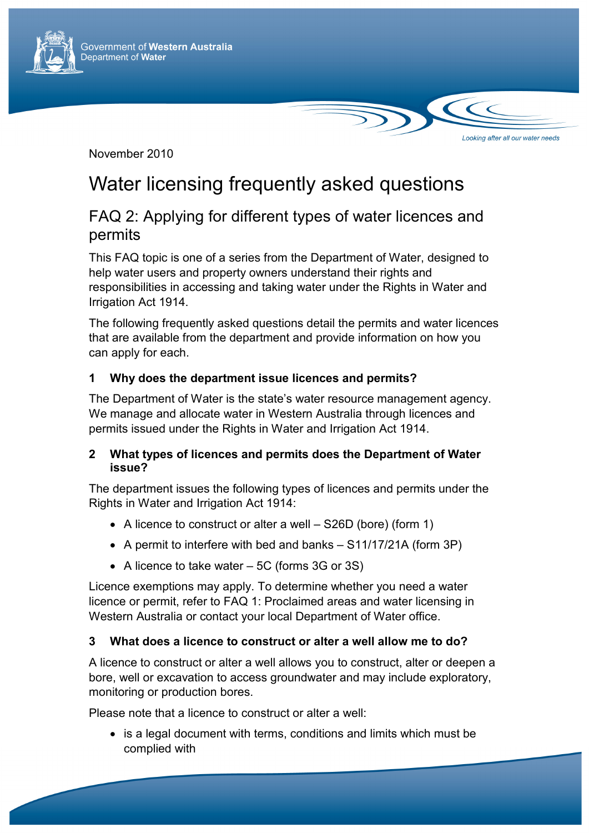

November 2010

# Water licensing frequently asked questions

# FAQ 2: Applying for different types of water licences and permits

Looking after all our water needs

This FAQ topic is one of a series from the Department of Water, designed to help water users and property owners understand their rights and responsibilities in accessing and taking water under the Rights in Water and Irrigation Act 1914.

The following frequently asked questions detail the permits and water licences that are available from the department and provide information on how you can apply for each.

## **1 Why does the department issue licences and permits?**

The Department of Water is the state's water resource management agency. We manage and allocate water in Western Australia through licences and permits issued under the Rights in Water and Irrigation Act 1914.

#### **2 What types of licences and permits does the Department of Water issue?**

The department issues the following types of licences and permits under the Rights in Water and Irrigation Act 1914:

- A licence to construct or alter a well S26D (bore) (form 1)
- A permit to interfere with bed and banks S11/17/21A (form 3P)
- A licence to take water 5C (forms 3G or 3S)

Licence exemptions may apply. To determine whether you need a water licence or permit, refer to FAQ 1: Proclaimed areas and water licensing in Western Australia or contact your local Department of Water office.

#### **3 What does a licence to construct or alter a well allow me to do?**

A licence to construct or alter a well allows you to construct, alter or deepen a bore, well or excavation to access groundwater and may include exploratory, monitoring or production bores.

Please note that a licence to construct or alter a well:

• is a legal document with terms, conditions and limits which must be complied with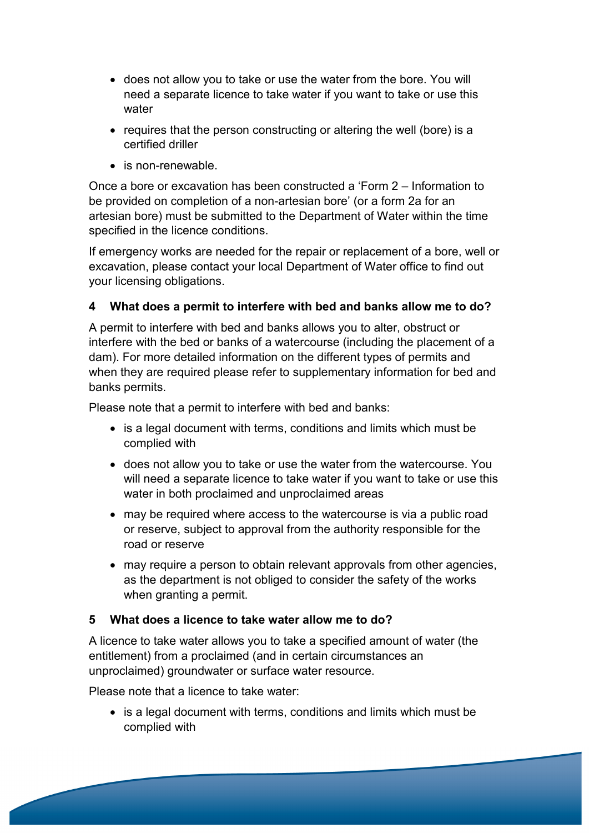- does not allow you to take or use the water from the bore. You will need a separate licence to take water if you want to take or use this water
- requires that the person constructing or altering the well (bore) is a certified driller
- is non-renewable.

Once a bore or excavation has been constructed a 'Form 2 – Information to be provided on completion of a non-artesian bore' (or a form 2a for an artesian bore) must be submitted to the Department of Water within the time specified in the licence conditions.

If emergency works are needed for the repair or replacement of a bore, well or excavation, please contact your local Department of Water office to find out your licensing obligations.

# **4 What does a permit to interfere with bed and banks allow me to do?**

A permit to interfere with bed and banks allows you to alter, obstruct or interfere with the bed or banks of a watercourse (including the placement of a dam). For more detailed information on the different types of permits and when they are required please refer to supplementary information for bed and banks permits.

Please note that a permit to interfere with bed and banks:

- is a legal document with terms, conditions and limits which must be complied with
- does not allow you to take or use the water from the watercourse. You will need a separate licence to take water if you want to take or use this water in both proclaimed and unproclaimed areas
- may be required where access to the watercourse is via a public road or reserve, subject to approval from the authority responsible for the road or reserve
- may require a person to obtain relevant approvals from other agencies, as the department is not obliged to consider the safety of the works when granting a permit.

#### **5 What does a licence to take water allow me to do?**

A licence to take water allows you to take a specified amount of water (the entitlement) from a proclaimed (and in certain circumstances an unproclaimed) groundwater or surface water resource.

Please note that a licence to take water:

• is a legal document with terms, conditions and limits which must be complied with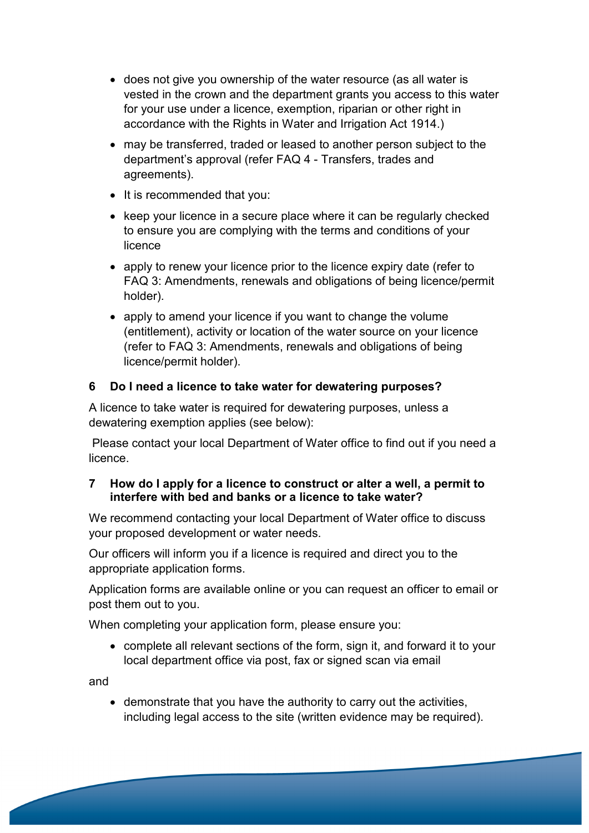- does not give you ownership of the water resource (as all water is vested in the crown and the department grants you access to this water for your use under a licence, exemption, riparian or other right in accordance with the Rights in Water and Irrigation Act 1914.)
- may be transferred, traded or leased to another person subject to the department's approval (refer FAQ 4 - Transfers, trades and agreements).
- It is recommended that you:
- keep your licence in a secure place where it can be regularly checked to ensure you are complying with the terms and conditions of your licence
- apply to renew your licence prior to the licence expiry date (refer to FAQ 3: Amendments, renewals and obligations of being licence/permit holder).
- apply to amend your licence if you want to change the volume (entitlement), activity or location of the water source on your licence (refer to FAQ 3: Amendments, renewals and obligations of being licence/permit holder).

## **6 Do I need a licence to take water for dewatering purposes?**

A licence to take water is required for dewatering purposes, unless a dewatering exemption applies (see below):

Please contact your local Department of Water office to find out if you need a licence.

#### **7 How do I apply for a licence to construct or alter a well, a permit to interfere with bed and banks or a licence to take water?**

We recommend contacting your local Department of Water office to discuss your proposed development or water needs.

Our officers will inform you if a licence is required and direct you to the appropriate application forms.

Application forms are available online or you can request an officer to email or post them out to you.

When completing your application form, please ensure you:

• complete all relevant sections of the form, sign it, and forward it to your local department office via post, fax or signed scan via email

and

• demonstrate that you have the authority to carry out the activities, including legal access to the site (written evidence may be required).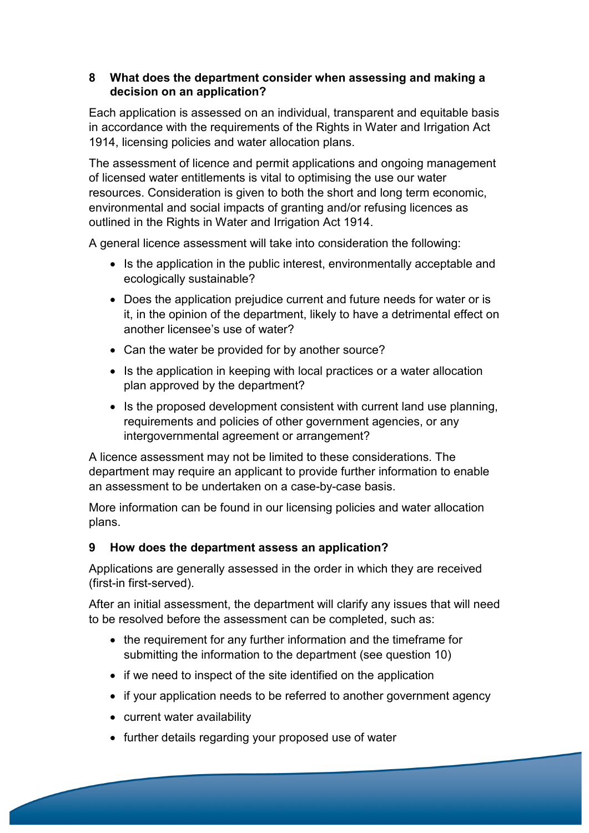#### **8 What does the department consider when assessing and making a decision on an application?**

Each application is assessed on an individual, transparent and equitable basis in accordance with the requirements of the Rights in Water and Irrigation Act 1914, licensing policies and water allocation plans.

The assessment of licence and permit applications and ongoing management of licensed water entitlements is vital to optimising the use our water resources. Consideration is given to both the short and long term economic, environmental and social impacts of granting and/or refusing licences as outlined in the Rights in Water and Irrigation Act 1914.

A general licence assessment will take into consideration the following:

- Is the application in the public interest, environmentally acceptable and ecologically sustainable?
- Does the application prejudice current and future needs for water or is it, in the opinion of the department, likely to have a detrimental effect on another licensee's use of water?
- Can the water be provided for by another source?
- Is the application in keeping with local practices or a water allocation plan approved by the department?
- Is the proposed development consistent with current land use planning, requirements and policies of other government agencies, or any intergovernmental agreement or arrangement?

A licence assessment may not be limited to these considerations. The department may require an applicant to provide further information to enable an assessment to be undertaken on a case-by-case basis.

More information can be found in our licensing policies and water allocation plans.

# **9 How does the department assess an application?**

Applications are generally assessed in the order in which they are received (first-in first-served).

After an initial assessment, the department will clarify any issues that will need to be resolved before the assessment can be completed, such as:

- the requirement for any further information and the timeframe for submitting the information to the department (see question 10)
- if we need to inspect of the site identified on the application
- if your application needs to be referred to another government agency
- current water availability
- further details regarding your proposed use of water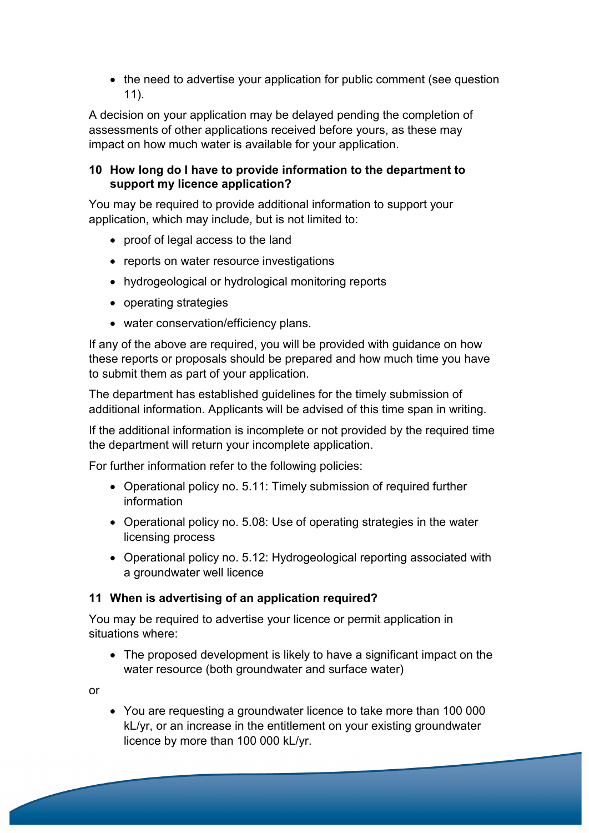• the need to advertise your application for public comment (see question 11).

A decision on your application may be delayed pending the completion of assessments of other applications received before yours, as these may impact on how much water is available for your application.

#### **10 How long do I have to provide information to the department to support my licence application?**

You may be required to provide additional information to support your application, which may include, but is not limited to:

- proof of legal access to the land
- reports on water resource investigations
- hydrogeological or hydrological monitoring reports
- operating strategies
- water conservation/efficiency plans.

If any of the above are required, you will be provided with guidance on how these reports or proposals should be prepared and how much time you have to submit them as part of your application.

The department has established guidelines for the timely submission of additional information. Applicants will be advised of this time span in writing.

If the additional information is incomplete or not provided by the required time the department will return your incomplete application.

For further information refer to the following policies:

- Operational policy no. 5.11: Timely submission of required further information
- Operational policy no. 5.08: Use of operating strategies in the water licensing process
- Operational policy no. 5.12: Hydrogeological reporting associated with a groundwater well licence

#### **11 When is advertising of an application required?**

You may be required to advertise your licence or permit application in situations where:

• The proposed development is likely to have a significant impact on the water resource (both groundwater and surface water)

or

• You are requesting a groundwater licence to take more than 100 000 kL/yr, or an increase in the entitlement on your existing groundwater licence by more than 100 000 kL/yr.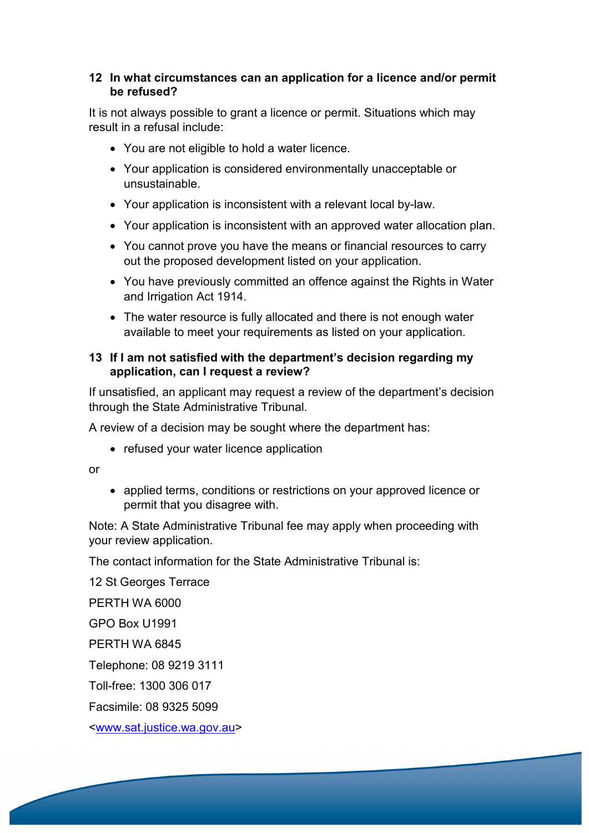#### **12 In what circumstances can an application for a licence and/or permit be refused?**

It is not always possible to grant a licence or permit. Situations which may result in a refusal include:

- You are not eligible to hold a water licence.
- Your application is considered environmentally unacceptable or unsustainable.
- Your application is inconsistent with a relevant local by-law.
- Your application is inconsistent with an approved water allocation plan.
- You cannot prove you have the means or financial resources to carry out the proposed development listed on your application.
- You have previously committed an offence against the Rights in Water and Irrigation Act 1914.
- The water resource is fully allocated and there is not enough water available to meet your requirements as listed on your application.

#### **13 If I am not satisfied with the department's decision regarding my application, can I request a review?**

If unsatisfied, an applicant may request a review of the department's decision through the State Administrative Tribunal.

A review of a decision may be sought where the department has:

• refused your water licence application

or

• applied terms, conditions or restrictions on your approved licence or permit that you disagree with.

Note: A State Administrative Tribunal fee may apply when proceeding with your review application.

The contact information for the State Administrative Tribunal is:

12 St Georges Terrace

PERTH WA 6000

GPO Box U1991

PERTH WA 6845

Telephone: 08 9219 3111

Toll-free: 1300 306 017

Facsimile: 08 9325 5099

<www.sat.justice.wa.gov.au>